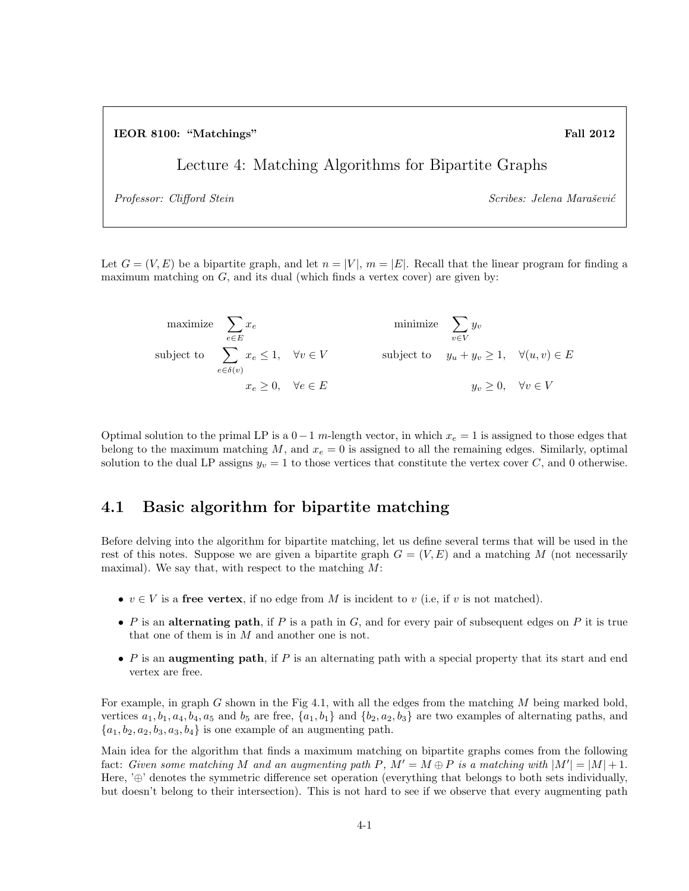IEOR 8100: "Matchings" Fall 2012

Lecture 4: Matching Algorithms for Bipartite Graphs

Professor: Clifford Stein  $Scribes: Jelena Maraševi\acute{c}$ 

Let  $G = (V, E)$  be a bipartite graph, and let  $n = |V|$ ,  $m = |E|$ . Recall that the linear program for finding a maximum matching on  $G$ , and its dual (which finds a vertex cover) are given by:

maximize  $\sum$ e∈E  $x_e$  minimize  $\sum$ v∈V  $y_{v}$ subject to  $\sum$  $e \in \delta(v)$  $x_e \leq 1$ ,  $\forall v \in V$  subject to  $y_u + y_v \geq 1$ ,  $\forall (u, v) \in E$  $x_e \geq 0$ ,  $\forall e \in E$   $y_v \geq 0$ ,  $\forall v \in V$ 

Optimal solution to the primal LP is a  $0-1$  m-length vector, in which  $x_e = 1$  is assigned to those edges that belong to the maximum matching  $M$ , and  $x_e = 0$  is assigned to all the remaining edges. Similarly, optimal solution to the dual LP assigns  $y_v = 1$  to those vertices that constitute the vertex cover C, and 0 otherwise.

## 4.1 Basic algorithm for bipartite matching

Before delving into the algorithm for bipartite matching, let us define several terms that will be used in the rest of this notes. Suppose we are given a bipartite graph  $G = (V, E)$  and a matching M (not necessarily maximal). We say that, with respect to the matching  $M$ :

- $v \in V$  is a free vertex, if no edge from M is incident to v (i.e., if v is not matched).
- P is an alternating path, if P is a path in  $G$ , and for every pair of subsequent edges on P it is true that one of them is in M and another one is not.
- P is an augmenting path, if P is an alternating path with a special property that its start and end vertex are free.

For example, in graph G shown in the Fig 4.1, with all the edges from the matching M being marked bold, vertices  $a_1, b_1, a_4, b_4, a_5$  and  $b_5$  are free,  $\{a_1, b_1\}$  and  $\{b_2, a_2, b_3\}$  are two examples of alternating paths, and  ${a_1, b_2, a_2, b_3, a_3, b_4}$  is one example of an augmenting path.

Main idea for the algorithm that finds a maximum matching on bipartite graphs comes from the following fact: Given some matching M and an augmenting path P,  $M' = M \oplus P$  is a matching with  $|M'| = |M| + 1$ . Here, '⊕' denotes the symmetric difference set operation (everything that belongs to both sets individually, but doesn't belong to their intersection). This is not hard to see if we observe that every augmenting path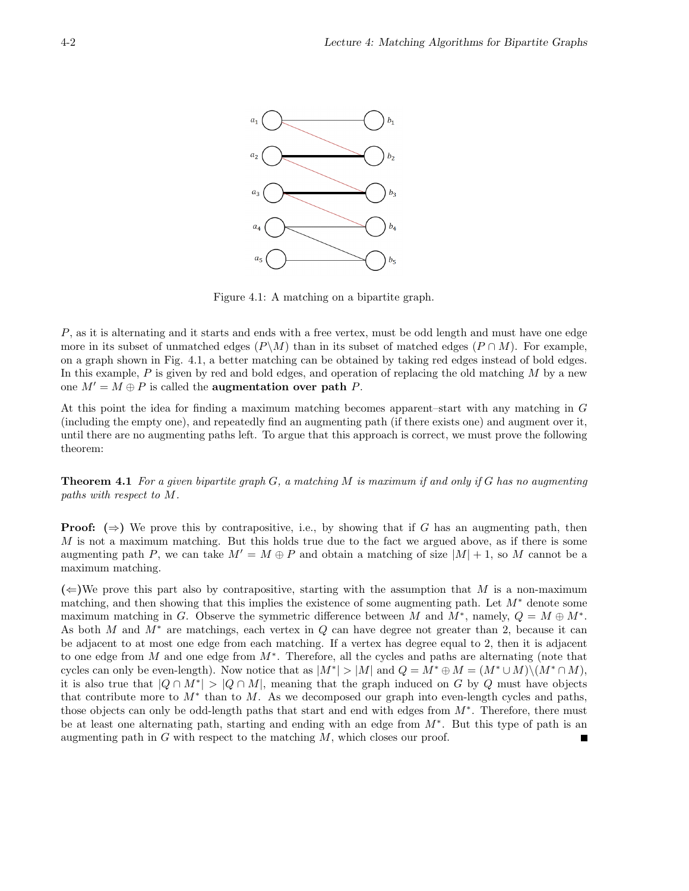

Figure 4.1: A matching on a bipartite graph.

P, as it is alternating and it starts and ends with a free vertex, must be odd length and must have one edge more in its subset of unmatched edges  $(P\backslash M)$  than in its subset of matched edges  $(P\cap M)$ . For example, on a graph shown in Fig. 4.1, a better matching can be obtained by taking red edges instead of bold edges. In this example,  $P$  is given by red and bold edges, and operation of replacing the old matching  $M$  by a new one  $M' = M \oplus P$  is called the **augmentation** over path P.

At this point the idea for finding a maximum matching becomes apparent–start with any matching in G (including the empty one), and repeatedly find an augmenting path (if there exists one) and augment over it, until there are no augmenting paths left. To argue that this approach is correct, we must prove the following theorem:

**Theorem 4.1** For a given bipartite graph  $G$ , a matching  $M$  is maximum if and only if  $G$  has no augmenting paths with respect to M.

**Proof:**  $(\Rightarrow)$  We prove this by contrapositive, i.e., by showing that if G has an augmenting path, then M is not a maximum matching. But this holds true due to the fact we argued above, as if there is some augmenting path P, we can take  $M' = M \oplus P$  and obtain a matching of size  $|M| + 1$ , so M cannot be a maximum matching.

 $(\Leftarrow)$ We prove this part also by contrapositive, starting with the assumption that M is a non-maximum matching, and then showing that this implies the existence of some augmenting path. Let  $M^*$  denote some maximum matching in G. Observe the symmetric difference between M and  $M^*$ , namely,  $Q = M \oplus M^*$ . As both M and M<sup>∗</sup> are matchings, each vertex in Q can have degree not greater than 2, because it can be adjacent to at most one edge from each matching. If a vertex has degree equal to 2, then it is adjacent to one edge from  $M$  and one edge from  $M^*$ . Therefore, all the cycles and paths are alternating (note that cycles can only be even-length). Now notice that as  $|M^*| > |M|$  and  $Q = M^* \oplus M = (M^* \cup M) \setminus (M^* \cap M)$ , it is also true that  $|Q \cap M^*| > |Q \cap M|$ , meaning that the graph induced on G by Q must have objects that contribute more to  $M^*$  than to M. As we decomposed our graph into even-length cycles and paths, those objects can only be odd-length paths that start and end with edges from  $M^*$ . Therefore, there must be at least one alternating path, starting and ending with an edge from M<sup>∗</sup> . But this type of path is an augmenting path in  $G$  with respect to the matching  $M$ , which closes our proof.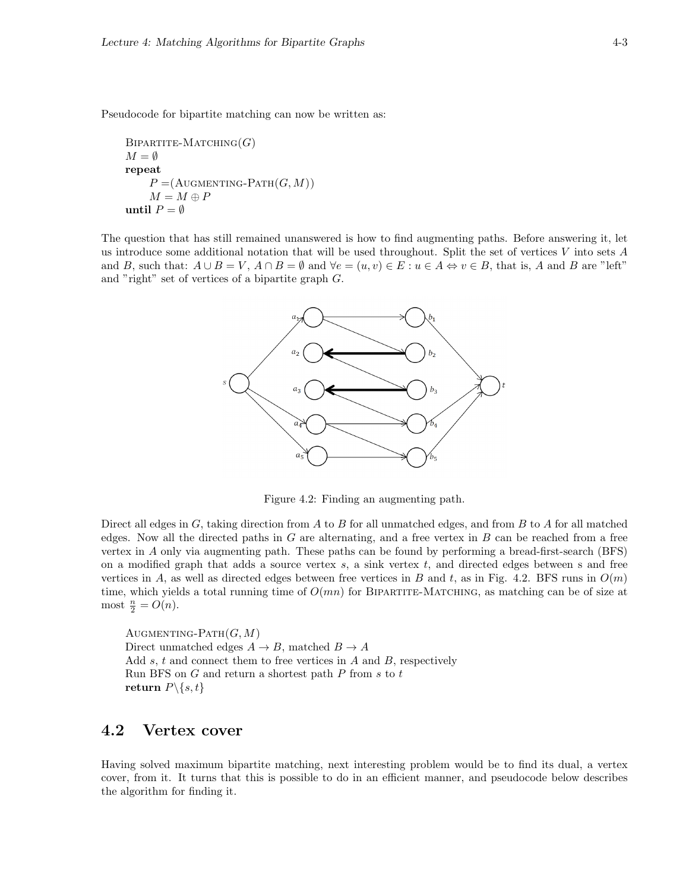Pseudocode for bipartite matching can now be written as:

```
BIPARTITE-MATCHING(G)M = \emptysetrepeat
P = (A \cup \text{CHAPTERTING-PATH}(G, M))M = M \oplus PuntilP=\emptyset
```
The question that has still remained unanswered is how to find augmenting paths. Before answering it, let us introduce some additional notation that will be used throughout. Split the set of vertices V into sets  $A$ and B, such that:  $A \cup B = V$ ,  $A \cap B = \emptyset$  and  $\forall e = (u, v) \in E : u \in A \Leftrightarrow v \in B$ , that is, A and B are "left" and "right" set of vertices of a bipartite graph G.



Figure 4.2: Finding an augmenting path.

Direct all edges in  $G$ , taking direction from  $A$  to  $B$  for all unmatched edges, and from  $B$  to  $A$  for all matched edges. Now all the directed paths in  $G$  are alternating, and a free vertex in  $B$  can be reached from a free vertex in A only via augmenting path. These paths can be found by performing a bread-first-search (BFS) on a modified graph that adds a source vertex  $s$ , a sink vertex  $t$ , and directed edges between s and free vertices in A, as well as directed edges between free vertices in B and t, as in Fig. 4.2. BFS runs in  $O(m)$ time, which yields a total running time of  $O(mn)$  for BIPARTITE-MATCHING, as matching can be of size at most  $\frac{n}{2} = O(n)$ .

AUGMENTING-PATH $(G, M)$ Direct unmatched edges  $A \rightarrow B$ , matched  $B \rightarrow A$ Add  $s, t$  and connect them to free vertices in  $A$  and  $B$ , respectively Run BFS on  $G$  and return a shortest path  $P$  from  $s$  to  $t$ return  $P \setminus \{s, t\}$ 

## 4.2 Vertex cover

Having solved maximum bipartite matching, next interesting problem would be to find its dual, a vertex cover, from it. It turns that this is possible to do in an efficient manner, and pseudocode below describes the algorithm for finding it.